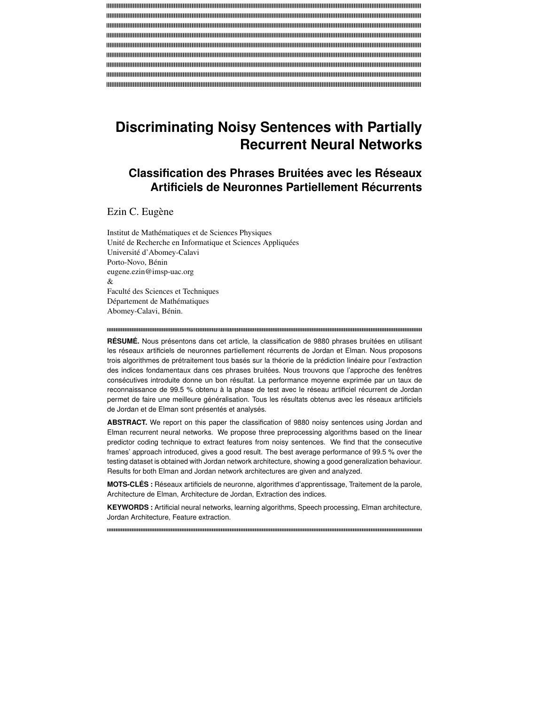# **Discriminating Noisy Sentences with Partially Recurrent Neural Networks**

# **Classification des Phrases Bruitées avec les Réseaux Artificiels de Neuronnes Partiellement Récurrents**

Ezin C. Eugène

Institut de Mathématiques et de Sciences Physiques Unité de Recherche en Informatique et Sciences Appliquées Université d'Abomey-Calavi Porto-Novo, Bénin eugene.ezin@imsp-uac.org  $\mathcal{R}$ Faculté des Sciences et Techniques Département de Mathématiques Abomey-Calavi, Bénin.

**RÉSUMÉ.** Nous présentons dans cet article, la classification de 9880 phrases bruitées en utilisant les réseaux artificiels de neuronnes partiellement récurrents de Jordan et Elman. Nous proposons trois algorithmes de prétraitement tous basés sur la théorie de la prédiction linéaire pour l'extraction des indices fondamentaux dans ces phrases bruitées. Nous trouvons que l'approche des fenêtres consécutives introduite donne un bon résultat. La performance moyenne exprimée par un taux de reconnaissance de 99.5 % obtenu à la phase de test avec le réseau artificiel récurrent de Jordan permet de faire une meilleure généralisation. Tous les résultats obtenus avec les réseaux artificiels de Jordan et de Elman sont présentés et analysés.

**ABSTRACT.** We report on this paper the classification of 9880 noisy sentences using Jordan and Elman recurrent neural networks. We propose three preprocessing algorithms based on the linear predictor coding technique to extract features from noisy sentences. We find that the consecutive frames' approach introduced, gives a good result. The best average performance of 99.5 % over the testing dataset is obtained with Jordan network architecture, showing a good generalization behaviour. Results for both Elman and Jordan network architectures are given and analyzed.

**MOTS-CLÉS :** Réseaux artificiels de neuronne, algorithmes d'apprentissage, Traitement de la parole, Architecture de Elman, Architecture de Jordan, Extraction des indices.

**KEYWORDS :** Artificial neural networks, learning algorithms, Speech processing, Elman architecture, Jordan Architecture, Feature extraction.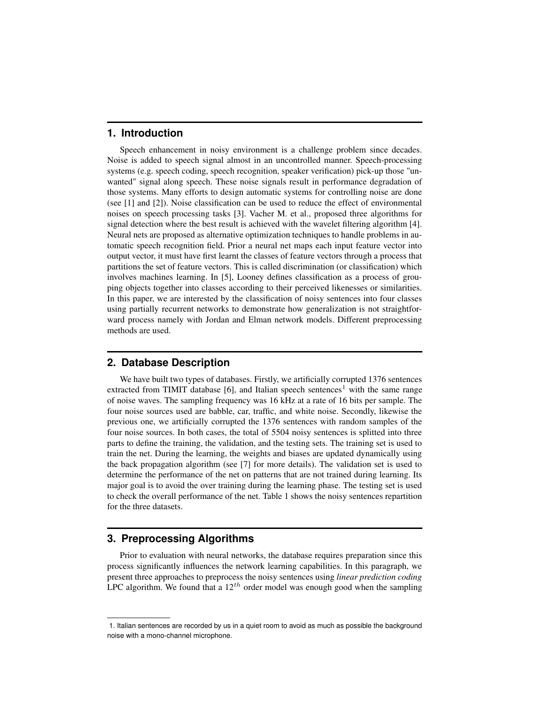### **1. Introduction**

Speech enhancement in noisy environment is a challenge problem since decades. Noise is added to speech signal almost in an uncontrolled manner. Speech-processing systems (e.g. speech coding, speech recognition, speaker verification) pick-up those "unwanted" signal along speech. These noise signals result in performance degradation of those systems. Many efforts to design automatic systems for controlling noise are done (see [1] and [2]). Noise classification can be used to reduce the effect of environmental noises on speech processing tasks [3]. Vacher M. et al., proposed three algorithms for signal detection where the best result is achieved with the wavelet filtering algorithm [4]. Neural nets are proposed as alternative optimization techniques to handle problems in automatic speech recognition field. Prior a neural net maps each input feature vector into output vector, it must have first learnt the classes of feature vectors through a process that partitions the set of feature vectors. This is called discrimination (or classification) which involves machines learning. In [5], Looney defines classification as a process of grouping objects together into classes according to their perceived likenesses or similarities. In this paper, we are interested by the classification of noisy sentences into four classes using partially recurrent networks to demonstrate how generalization is not straightforward process namely with Jordan and Elman network models. Different preprocessing methods are used.

# **2. Database Description**

We have built two types of databases. Firstly, we artificially corrupted 1376 sentences extracted from TIMIT database  $[6]$ , and Italian speech sentences<sup>1</sup> with the same range of noise waves. The sampling frequency was 16 kHz at a rate of 16 bits per sample. The four noise sources used are babble, car, traffic, and white noise. Secondly, likewise the previous one, we artificially corrupted the 1376 sentences with random samples of the four noise sources. In both cases, the total of 5504 noisy sentences is splitted into three parts to define the training, the validation, and the testing sets. The training set is used to train the net. During the learning, the weights and biases are updated dynamically using the back propagation algorithm (see [7] for more details). The validation set is used to determine the performance of the net on patterns that are not trained during learning. Its major goal is to avoid the over training during the learning phase. The testing set is used to check the overall performance of the net. Table 1 shows the noisy sentences repartition for the three datasets.

#### **3. Preprocessing Algorithms**

Prior to evaluation with neural networks, the database requires preparation since this process significantly influences the network learning capabilities. In this paragraph, we present three approaches to preprocess the noisy sentences using *linear prediction coding* LPC algorithm. We found that a  $12^{th}$  order model was enough good when the sampling

<sup>1.</sup> Italian sentences are recorded by us in a quiet room to avoid as much as possible the background noise with a mono-channel microphone.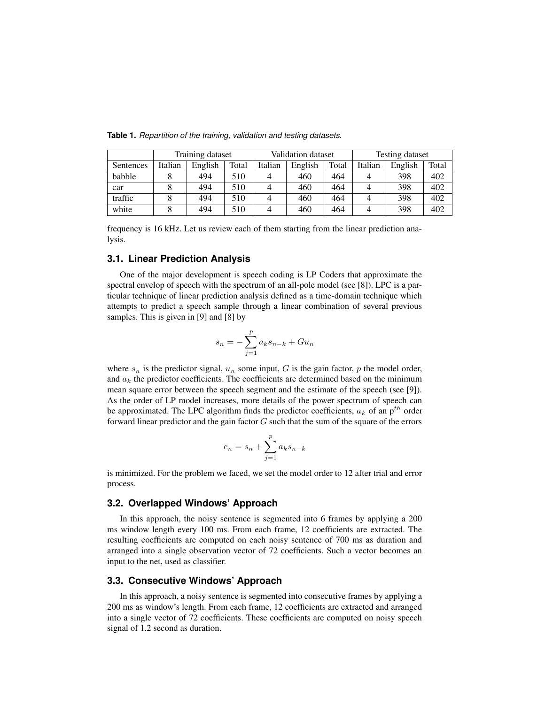|           |         | Training dataset |       |         | Validation dataset |       | Testing dataset |         |       |  |
|-----------|---------|------------------|-------|---------|--------------------|-------|-----------------|---------|-------|--|
| Sentences | Italian | English          | Total | Italian | English            | Total | Italian         | English | Total |  |
| babble    |         | 494              | 510   |         | 460                | 464   | 4               | 398     | 402   |  |
| car       |         | 494              | 510   |         | 460                | 464   |                 | 398     | 402   |  |
| traffic   |         | 494              | 510   |         | 460                | 464   | 4               | 398     | 402   |  |
| white     |         | 494              | 510   |         | 460                | 464   | 4               | 398     | 402   |  |

**Table 1.** Repartition of the training, validation and testing datasets.

frequency is 16 kHz. Let us review each of them starting from the linear prediction analysis.

#### **3.1. Linear Prediction Analysis**

One of the major development is speech coding is LP Coders that approximate the spectral envelop of speech with the spectrum of an all-pole model (see [8]). LPC is a particular technique of linear prediction analysis defined as a time-domain technique which attempts to predict a speech sample through a linear combination of several previous samples. This is given in [9] and [8] by

$$
s_n = -\sum_{j=1}^p a_k s_{n-k} + Gu_n
$$

where  $s_n$  is the predictor signal,  $u_n$  some input, G is the gain factor, p the model order, and  $a_k$  the predictor coefficients. The coefficients are determined based on the minimum mean square error between the speech segment and the estimate of the speech (see [9]). As the order of LP model increases, more details of the power spectrum of speech can be approximated. The LPC algorithm finds the predictor coefficients,  $a_k$  of an  $p^{th}$  order forward linear predictor and the gain factor  $G$  such that the sum of the square of the errors

$$
e_n = s_n + \sum_{j=1}^p a_k s_{n-k}
$$

is minimized. For the problem we faced, we set the model order to 12 after trial and error process.

## **3.2. Overlapped Windows' Approach**

In this approach, the noisy sentence is segmented into 6 frames by applying a 200 ms window length every 100 ms. From each frame, 12 coefficients are extracted. The resulting coefficients are computed on each noisy sentence of 700 ms as duration and arranged into a single observation vector of 72 coefficients. Such a vector becomes an input to the net, used as classifier.

#### **3.3. Consecutive Windows' Approach**

In this approach, a noisy sentence is segmented into consecutive frames by applying a 200 ms as window's length. From each frame, 12 coefficients are extracted and arranged into a single vector of 72 coefficients. These coefficients are computed on noisy speech signal of 1.2 second as duration.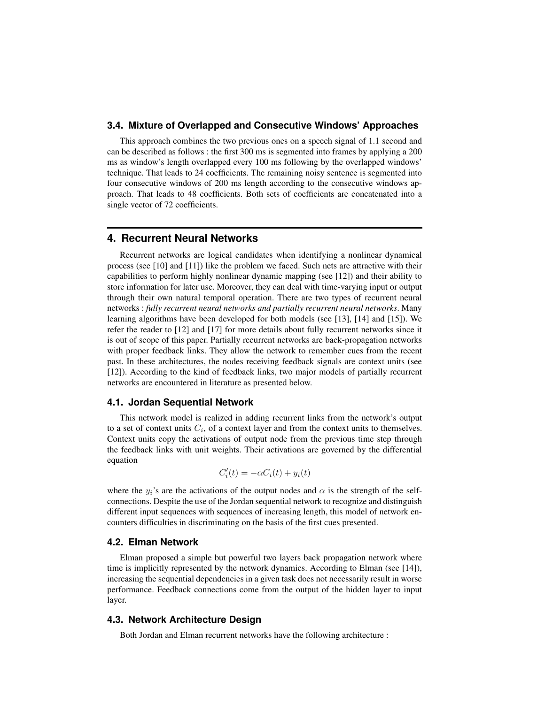#### **3.4. Mixture of Overlapped and Consecutive Windows' Approaches**

This approach combines the two previous ones on a speech signal of 1.1 second and can be described as follows : the first 300 ms is segmented into frames by applying a 200 ms as window's length overlapped every 100 ms following by the overlapped windows' technique. That leads to 24 coefficients. The remaining noisy sentence is segmented into four consecutive windows of 200 ms length according to the consecutive windows approach. That leads to 48 coefficients. Both sets of coefficients are concatenated into a single vector of 72 coefficients.

#### **4. Recurrent Neural Networks**

Recurrent networks are logical candidates when identifying a nonlinear dynamical process (see [10] and [11]) like the problem we faced. Such nets are attractive with their capabilities to perform highly nonlinear dynamic mapping (see [12]) and their ability to store information for later use. Moreover, they can deal with time-varying input or output through their own natural temporal operation. There are two types of recurrent neural networks : *fully recurrent neural networks and partially recurrent neural networks*. Many learning algorithms have been developed for both models (see [13], [14] and [15]). We refer the reader to [12] and [17] for more details about fully recurrent networks since it is out of scope of this paper. Partially recurrent networks are back-propagation networks with proper feedback links. They allow the network to remember cues from the recent past. In these architectures, the nodes receiving feedback signals are context units (see [12]). According to the kind of feedback links, two major models of partially recurrent networks are encountered in literature as presented below.

#### **4.1. Jordan Sequential Network**

This network model is realized in adding recurrent links from the network's output to a set of context units  $C_i$ , of a context layer and from the context units to themselves. Context units copy the activations of output node from the previous time step through the feedback links with unit weights. Their activations are governed by the differential equation

$$
C_i'(t) = -\alpha C_i(t) + y_i(t)
$$

where the  $y_i$ 's are the activations of the output nodes and  $\alpha$  is the strength of the selfconnections. Despite the use of the Jordan sequential network to recognize and distinguish different input sequences with sequences of increasing length, this model of network encounters difficulties in discriminating on the basis of the first cues presented.

#### **4.2. Elman Network**

Elman proposed a simple but powerful two layers back propagation network where time is implicitly represented by the network dynamics. According to Elman (see [14]), increasing the sequential dependencies in a given task does not necessarily result in worse performance. Feedback connections come from the output of the hidden layer to input layer.

#### **4.3. Network Architecture Design**

Both Jordan and Elman recurrent networks have the following architecture :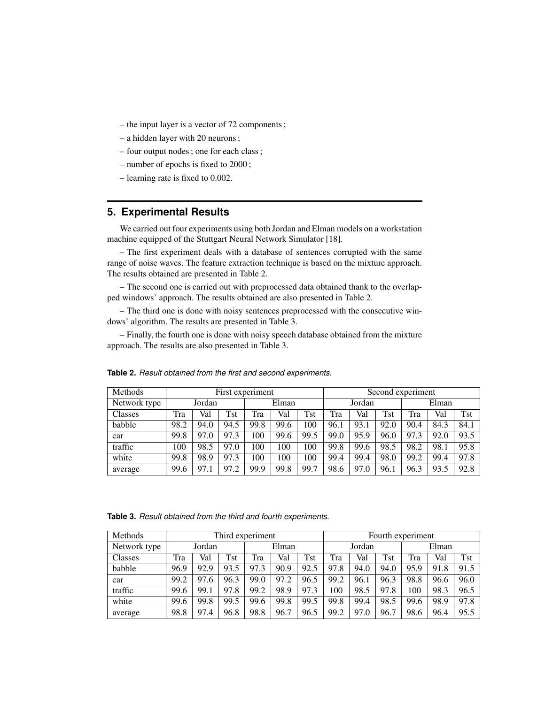- the input layer is a vector of 72 components;
- a hidden layer with 20 neurons;
- four output nodes; one for each class;
- number of epochs is fixed to 2000 ;
- learning rate is fixed to 0.002.

# **5. Experimental Results**

We carried out four experiments using both Jordan and Elman models on a workstation machine equipped of the Stuttgart Neural Network Simulator [18].

– The first experiment deals with a database of sentences corrupted with the same range of noise waves. The feature extraction technique is based on the mixture approach. The results obtained are presented in Table 2.

– The second one is carried out with preprocessed data obtained thank to the overlapped windows' approach. The results obtained are also presented in Table 2.

– The third one is done with noisy sentences preprocessed with the consecutive windows' algorithm. The results are presented in Table 3.

– Finally, the fourth one is done with noisy speech database obtained from the mixture approach. The results are also presented in Table 3.

| Methods      | First experiment |      |      |       |      |      |        | Second experiment |      |       |      |            |  |
|--------------|------------------|------|------|-------|------|------|--------|-------------------|------|-------|------|------------|--|
| Network type | Jordan           |      |      | Elman |      |      | Jordan |                   |      | Elman |      |            |  |
| Classes      | Tra              | Val  | Tst  | Tra   | Val  | Tst  | Tra    | Val               | Tst  | Tra   | Val  | <b>Tst</b> |  |
| babble       | 98.2             | 94.0 | 94.5 | 99.8  | 99.6 | 100  | 96.1   | 93.1              | 92.0 | 90.4  | 84.3 | 84.1       |  |
| car          | 99.8             | 97.0 | 97.3 | 00    | 99.6 | 99.5 | 99.0   | 95.9              | 96.0 | 97.3  | 92.0 | 93.5       |  |
| traffic      | 100              | 98.5 | 97.0 | 00    | 100  | 100  | 99.8   | 99.6              | 98.5 | 98.2  | 98.1 | 95.8       |  |
| white        | 99.8             | 98.9 | 97.3 | 100   | 100  | 100  | 99.4   | 99.4              | 98.0 | 99.2  | 99.4 | 97.8       |  |
| average      | 99.6             | 97.1 | 97.2 | 99.9  | 99.8 | 99.7 | 98.6   | 97.0              | 96.1 | 96.3  | 93.5 | 92.8       |  |

**Table 2.** Result obtained from the first and second experiments.

**Table 3.** Result obtained from the third and fourth experiments.

| Methods      | Third experiment |      |            |       |      |      |        | Fourth experiment |      |       |      |            |  |
|--------------|------------------|------|------------|-------|------|------|--------|-------------------|------|-------|------|------------|--|
| Network type | Jordan           |      |            | Elman |      |      | Jordan |                   |      | Elman |      |            |  |
| Classes      | Tra              | Val  | <b>Tst</b> | Tra   | Val  | Tst  | Tra    | Val               | Tst  | Tra   | Val  | <b>Tst</b> |  |
| babble       | 96.9             | 92.9 | 93.5       | 97.3  | 90.9 | 92.5 | 97.8   | 94.0              | 94.0 | 95.9  | 91.8 | 91.5       |  |
| car          | 99.2             | 97.6 | 96.3       | 99.0  | 97.2 | 96.5 | 99.2   | 96.1              | 96.3 | 98.8  | 96.6 | 96.0       |  |
| traffic      | 99.6             | 99.1 | 97.8       | 99.2  | 98.9 | 97.3 | 100    | 98.5              | 97.8 | 100   | 98.3 | 96.5       |  |
| white        | 99.6             | 99.8 | 99.5       | 99.6  | 99.8 | 99.5 | 99.8   | 99.4              | 98.5 | 99.6  | 98.9 | 97.8       |  |
| average      | 98.8             | 97.4 | 96.8       | 98.8  | 96.7 | 96.5 | 99.2   | 97.0              | 96.7 | 98.6  | 96.4 | 95.5       |  |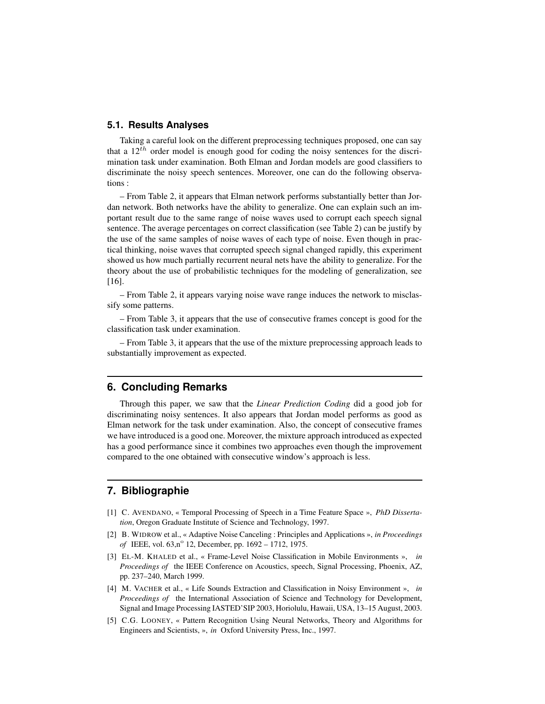#### **5.1. Results Analyses**

Taking a careful look on the different preprocessing techniques proposed, one can say that a  $12^{th}$  order model is enough good for coding the noisy sentences for the discrimination task under examination. Both Elman and Jordan models are good classifiers to discriminate the noisy speech sentences. Moreover, one can do the following observations :

– From Table 2, it appears that Elman network performs substantially better than Jordan network. Both networks have the ability to generalize. One can explain such an important result due to the same range of noise waves used to corrupt each speech signal sentence. The average percentages on correct classification (see Table 2) can be justify by the use of the same samples of noise waves of each type of noise. Even though in practical thinking, noise waves that corrupted speech signal changed rapidly, this experiment showed us how much partially recurrent neural nets have the ability to generalize. For the theory about the use of probabilistic techniques for the modeling of generalization, see [16].

– From Table 2, it appears varying noise wave range induces the network to misclassify some patterns.

– From Table 3, it appears that the use of consecutive frames concept is good for the classification task under examination.

– From Table 3, it appears that the use of the mixture preprocessing approach leads to substantially improvement as expected.

#### **6. Concluding Remarks**

Through this paper, we saw that the *Linear Prediction Coding* did a good job for discriminating noisy sentences. It also appears that Jordan model performs as good as Elman network for the task under examination. Also, the concept of consecutive frames we have introduced is a good one. Moreover, the mixture approach introduced as expected has a good performance since it combines two approaches even though the improvement compared to the one obtained with consecutive window's approach is less.

# **7. Bibliographie**

- [1] C. AVENDANO, « Temporal Processing of Speech in a Time Feature Space », *PhD Dissertation*, Oregon Graduate Institute of Science and Technology, 1997.
- [2] B. WIDROW et al., « Adaptive Noise Canceling : Principles and Applications », *in Proceedings of* IEEE, vol. 63,n<sup>o</sup> 12, December, pp. 1692 – 1712, 1975.
- [3] EL-M. KHALED et al., « Frame-Level Noise Classification in Mobile Environments », *in Proceedings of* the IEEE Conference on Acoustics, speech, Signal Processing, Phoenix, AZ, pp. 237–240, March 1999.
- [4] M. VACHER et al., « Life Sounds Extraction and Classification in Noisy Environment », *in Proceedings of* the International Association of Science and Technology for Development, Signal and Image Processing IASTED'SIP 2003, Horiolulu, Hawaii, USA, 13–15 August, 2003.
- [5] C.G. LOONEY, « Pattern Recognition Using Neural Networks, Theory and Algorithms for Engineers and Scientists, », *in* Oxford University Press, Inc., 1997.